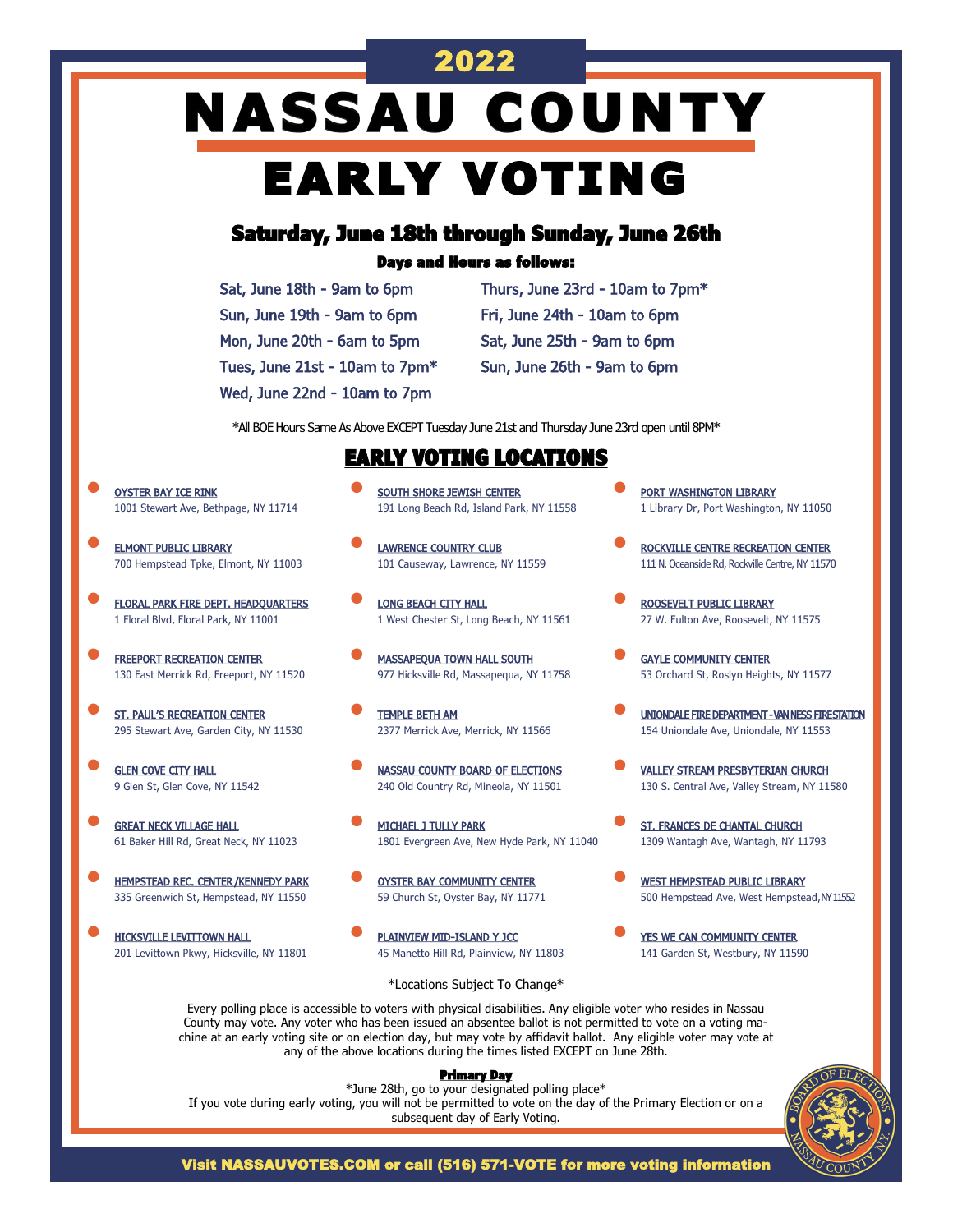# **NASSAU COUNTY** EARLY VOTING

2022

## Saturday, June 18th through Sunday, June 26th

### Days and Hours as follows:

| Sat, June 18th - 9am to 6pm    |
|--------------------------------|
| Sun, June 19th - 9am to 6pm    |
| Mon, June 20th - 6am to 5pm    |
| Tues, June 21st - 10am to 7pm* |
| Wed, June 22nd - 10am to 7pm   |

Thurs, June 23rd - 10am to 7pm\* Fri, June 24th - 10am to 6pm Sat, June 25th - 9am to 6pm Sun, June 26th - 9am to 6pm

\*All BOE Hours Same As Above EXCEPT Tuesday June 21st and Thursday June 23rd open until 8PM\*

### EARLY VOTING LOCATIONS

- OYSTER BAY ICE RINK 1001 Stewart Ave, Bethpage, NY 11714
- **ELMONT PUBLIC LIBRARY** 700 Hempstead Tpke, Elmont, NY 11003
- **FLORAL PARK FIRE DEPT. HEADQUARTERS** 1 Floral Blvd, Floral Park, NY 11001
- **FREEPORT RECREATION CENTER** 130 East Merrick Rd, Freeport, NY 11520
- **ST. PAUL'S RECREATION CENTER** 295 Stewart Ave, Garden City, NY 11530
- **GLEN COVE CITY HALL** 9 Glen St, Glen Cove, NY 11542
- **GREAT NECK VILLAGE HALL** 61 Baker Hill Rd, Great Neck, NY 11023
- **HEMPSTEAD REC. CENTER/KENNEDY PARK** 335 Greenwich St, Hempstead, NY 11550
- HICKSVILLE LEVITTOWN HALL 201 Levittown Pkwy, Hicksville, NY 11801
- **SOUTH SHORE JEWISH CENTER** 191 Long Beach Rd, Island Park, NY 11558
- **LAWRENCE COUNTRY CLUB** 101 Causeway, Lawrence, NY 11559
- **LONG BEACH CITY HALL** 1 West Chester St, Long Beach, NY 11561
- **MASSAPEQUA TOWN HALL SOUTH** 977 Hicksville Rd, Massapequa, NY 11758
- TEMPLE BETH AM 2377 Merrick Ave, Merrick, NY 11566
- **NASSAU COUNTY BOARD OF ELECTIONS** 240 Old Country Rd, Mineola, NY 11501
- MICHAEL J TULLY PARK 1801 Evergreen Ave, New Hyde Park, NY 11040
- OYSTER BAY COMMUNITY CENTER 59 Church St, Oyster Bay, NY 11771
- PLAINVIEW MID-ISLAND Y JCC 45 Manetto Hill Rd, Plainview, NY 11803
- **PORT WASHINGTON LIBRARY** 1 Library Dr, Port Washington, NY 11050
- ROCKVILLE CENTRE RECREATION CENTER 111 N. Oceanside Rd, Rockville Centre, NY 11570
- ROOSEVELT PUBLIC LIBRARY 27 W. Fulton Ave, Roosevelt, NY 11575
- **GAYLE COMMUNITY CENTER** 53 Orchard St, Roslyn Heights, NY 11577
- UNIONDALE FIRE DEPARTMENT VAN NESS FIRE STATION 154 Uniondale Ave, Uniondale, NY 11553
- VALLEY STREAM PRESBYTERIAN CHURCH 130 S. Central Ave, Valley Stream, NY 11580
- ST. FRANCES DE CHANTAL CHURCH 1309 Wantagh Ave, Wantagh, NY 11793
- **WEST HEMPSTEAD PUBLIC LIBRARY** 500 Hempstead Ave, West Hempstead, NY 11552
- YES WE CAN COMMUNITY CENTER 141 Garden St, Westbury, NY 11590

\*Locations Subject To Change\*

Every polling place is accessible to voters with physical disabilities. Any eligible voter who resides in Nassau County may vote. Any voter who has been issued an absentee ballot is not permitted to vote on a voting machine at an early voting site or on election day, but may vote by affidavit ballot. Any eligible voter may vote at any of the above locations during the times listed EXCEPT on June 28th.

### Primary Day

\*June 28th, go to your designated polling place\* If you vote during early voting, you will not be permitted to vote on the day of the Primary Election or on a subsequent day of Early Voting.



Visit NASSAUVOTES.COM or call (516) 571-VOTE for more voting information